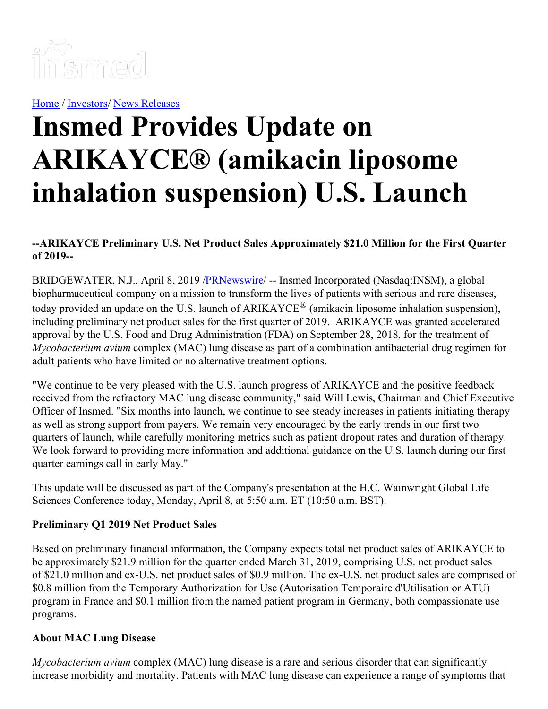

[Home](https://insmed.com/) / [Investors](https://investor.insmed.com/index)/ News [Releases](https://investor.insmed.com/releases)

# **Insmed Provides Update on ARIKAYCE® (amikacin liposome inhalation suspension) U.S. Launch**

#### **--ARIKAYCE Preliminary U.S. Net Product Sales Approximately \$21.0 Million for the First Quarter of 2019--**

BRIDGEWATER, N.J., April 8, 2019 /**PRNewswire/** -- Insmed Incorporated (Nasdaq:INSM), a global biopharmaceutical company on a mission to transform the lives of patients with serious and rare diseases, today provided an update on the U.S. launch of ARIKAYCE® (amikacin liposome inhalation suspension), including preliminary net product sales for the first quarter of 2019. ARIKAYCE was granted accelerated approval by the U.S. Food and Drug Administration (FDA) on September 28, 2018, for the treatment of *Mycobacterium avium* complex (MAC) lung disease as part of a combination antibacterial drug regimen for adult patients who have limited or no alternative treatment options.

"We continue to be very pleased with the U.S. launch progress of ARIKAYCE and the positive feedback received from the refractory MAC lung disease community," said Will Lewis, Chairman and Chief Executive Officer of Insmed. "Six months into launch, we continue to see steady increases in patients initiating therapy as well as strong support from payers. We remain very encouraged by the early trends in our first two quarters of launch, while carefully monitoring metrics such as patient dropout rates and duration of therapy. We look forward to providing more information and additional guidance on the U.S. launch during our first quarter earnings call in early May."

This update will be discussed as part of the Company's presentation at the H.C. Wainwright Global Life Sciences Conference today, Monday, April 8, at 5:50 a.m. ET (10:50 a.m. BST).

#### **Preliminary Q1 2019 Net Product Sales**

Based on preliminary financial information, the Company expects total net product sales of ARIKAYCE to be approximately \$21.9 million for the quarter ended March 31, 2019, comprising U.S. net product sales of \$21.0 million and ex-U.S. net product sales of \$0.9 million. The ex-U.S. net product sales are comprised of \$0.8 million from the Temporary Authorization for Use (Autorisation Temporaire d'Utilisation or ATU) program in France and \$0.1 million from the named patient program in Germany, both compassionate use programs.

#### **About MAC Lung Disease**

*Mycobacterium avium* complex (MAC) lung disease is a rare and serious disorder that can significantly increase morbidity and mortality. Patients with MAC lung disease can experience a range of symptoms that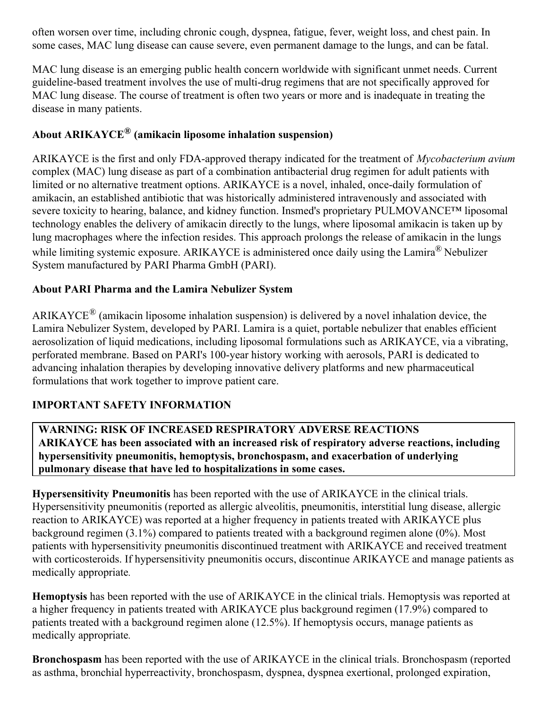often worsen over time, including chronic cough, dyspnea, fatigue, fever, weight loss, and chest pain. In some cases, MAC lung disease can cause severe, even permanent damage to the lungs, and can be fatal.

MAC lung disease is an emerging public health concern worldwide with significant unmet needs. Current guideline-based treatment involves the use of multi-drug regimens that are not specifically approved for MAC lung disease. The course of treatment is often two years or more and is inadequate in treating the disease in many patients.

# **About ARIKAYCE ® (amikacin liposome inhalation suspension)**

ARIKAYCE is the first and only FDA-approved therapy indicated for the treatment of *Mycobacterium avium* complex (MAC) lung disease as part of a combination antibacterial drug regimen for adult patients with limited or no alternative treatment options. ARIKAYCE is a novel, inhaled, once-daily formulation of amikacin, an established antibiotic that was historically administered intravenously and associated with severe toxicity to hearing, balance, and kidney function. Insmed's proprietary PULMOVANCE™ liposomal technology enables the delivery of amikacin directly to the lungs, where liposomal amikacin is taken up by lung macrophages where the infection resides. This approach prolongs the release of amikacin in the lungs while limiting systemic exposure. ARIKAYCE is administered once daily using the Lamira® Nebulizer System manufactured by PARI Pharma GmbH (PARI).

### **About PARI Pharma and the Lamira Nebulizer System**

ARIKAYCE<sup>®</sup> (amikacin liposome inhalation suspension) is delivered by a novel inhalation device, the Lamira Nebulizer System, developed by PARI. Lamira is a quiet, portable nebulizer that enables efficient aerosolization of liquid medications, including liposomal formulations such as ARIKAYCE, via a vibrating, perforated membrane. Based on PARI's 100-year history working with aerosols, PARI is dedicated to advancing inhalation therapies by developing innovative delivery platforms and new pharmaceutical formulations that work together to improve patient care.

#### **IMPORTANT SAFETY INFORMATION**

**WARNING: RISK OF INCREASED RESPIRATORY ADVERSE REACTIONS ARIKAYCE has been associated with an increased risk of respiratory adverse reactions, including hypersensitivity pneumonitis, hemoptysis, bronchospasm, and exacerbation of underlying pulmonary disease that have led to hospitalizations in some cases.**

**Hypersensitivity Pneumonitis** has been reported with the use of ARIKAYCE in the clinical trials. Hypersensitivity pneumonitis (reported as allergic alveolitis, pneumonitis, interstitial lung disease, allergic reaction to ARIKAYCE) was reported at a higher frequency in patients treated with ARIKAYCE plus background regimen (3.1%) compared to patients treated with a background regimen alone (0%). Most patients with hypersensitivity pneumonitis discontinued treatment with ARIKAYCE and received treatment with corticosteroids. If hypersensitivity pneumonitis occurs, discontinue ARIKAYCE and manage patients as medically appropriate*.*

**Hemoptysis** has been reported with the use of ARIKAYCE in the clinical trials. Hemoptysis was reported at a higher frequency in patients treated with ARIKAYCE plus background regimen (17.9%) compared to patients treated with a background regimen alone (12.5%). If hemoptysis occurs, manage patients as medically appropriate*.*

**Bronchospasm** has been reported with the use of ARIKAYCE in the clinical trials. Bronchospasm (reported as asthma, bronchial hyperreactivity, bronchospasm, dyspnea, dyspnea exertional, prolonged expiration,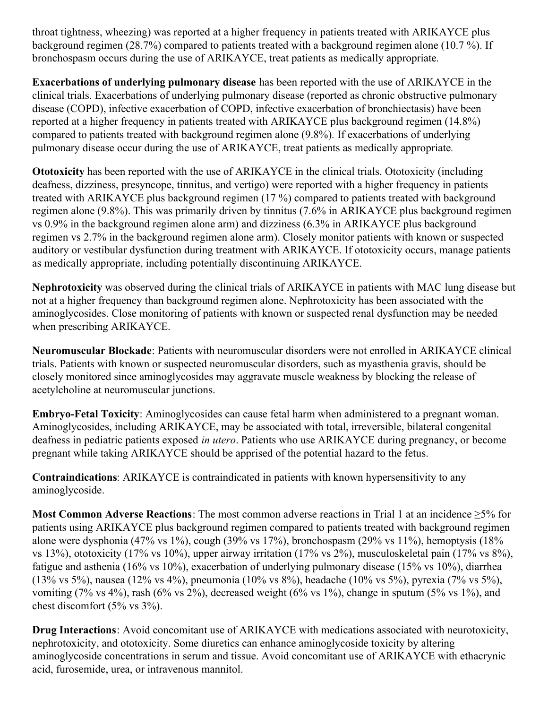throat tightness, wheezing) was reported at a higher frequency in patients treated with ARIKAYCE plus background regimen (28.7%) compared to patients treated with a background regimen alone (10.7 %). If bronchospasm occurs during the use of ARIKAYCE, treat patients as medically appropriate*.*

**Exacerbations of underlying pulmonary disease** has been reported with the use of ARIKAYCE in the clinical trials. Exacerbations of underlying pulmonary disease (reported as chronic obstructive pulmonary disease (COPD), infective exacerbation of COPD, infective exacerbation of bronchiectasis) have been reported at a higher frequency in patients treated with ARIKAYCE plus background regimen (14.8%) compared to patients treated with background regimen alone (9.8%)*.* If exacerbations of underlying pulmonary disease occur during the use of ARIKAYCE, treat patients as medically appropriate*.*

**Ototoxicity** has been reported with the use of ARIKAYCE in the clinical trials. Ototoxicity (including deafness, dizziness, presyncope, tinnitus, and vertigo) were reported with a higher frequency in patients treated with ARIKAYCE plus background regimen (17 %) compared to patients treated with background regimen alone (9.8%). This was primarily driven by tinnitus (7.6% in ARIKAYCE plus background regimen vs 0.9% in the background regimen alone arm) and dizziness (6.3% in ARIKAYCE plus background regimen vs 2.7% in the background regimen alone arm). Closely monitor patients with known or suspected auditory or vestibular dysfunction during treatment with ARIKAYCE. If ototoxicity occurs, manage patients as medically appropriate, including potentially discontinuing ARIKAYCE.

**Nephrotoxicity** was observed during the clinical trials of ARIKAYCE in patients with MAC lung disease but not at a higher frequency than background regimen alone. Nephrotoxicity has been associated with the aminoglycosides. Close monitoring of patients with known or suspected renal dysfunction may be needed when prescribing ARIKAYCE.

**Neuromuscular Blockade**: Patients with neuromuscular disorders were not enrolled in ARIKAYCE clinical trials. Patients with known or suspected neuromuscular disorders, such as myasthenia gravis, should be closely monitored since aminoglycosides may aggravate muscle weakness by blocking the release of acetylcholine at neuromuscular junctions.

**Embryo-Fetal Toxicity**: Aminoglycosides can cause fetal harm when administered to a pregnant woman. Aminoglycosides, including ARIKAYCE, may be associated with total, irreversible, bilateral congenital deafness in pediatric patients exposed *in utero*. Patients who use ARIKAYCE during pregnancy, or become pregnant while taking ARIKAYCE should be apprised of the potential hazard to the fetus.

**Contraindications**: ARIKAYCE is contraindicated in patients with known hypersensitivity to any aminoglycoside.

**Most Common Adverse Reactions**: The most common adverse reactions in Trial 1 at an incidence ≥5% for patients using ARIKAYCE plus background regimen compared to patients treated with background regimen alone were dysphonia (47% vs 1%), cough (39% vs 17%), bronchospasm (29% vs 11%), hemoptysis (18% vs 13%), ototoxicity (17% vs 10%), upper airway irritation (17% vs 2%), musculoskeletal pain (17% vs 8%), fatigue and asthenia (16% vs 10%), exacerbation of underlying pulmonary disease (15% vs 10%), diarrhea (13% vs 5%), nausea (12% vs 4%), pneumonia (10% vs 8%), headache (10% vs 5%), pyrexia (7% vs 5%), vomiting (7% vs 4%), rash (6% vs 2%), decreased weight (6% vs 1%), change in sputum (5% vs 1%), and chest discomfort (5% vs 3%).

**Drug Interactions**: Avoid concomitant use of ARIKAYCE with medications associated with neurotoxicity, nephrotoxicity, and ototoxicity. Some diuretics can enhance aminoglycoside toxicity by altering aminoglycoside concentrations in serum and tissue. Avoid concomitant use of ARIKAYCE with ethacrynic acid, furosemide, urea, or intravenous mannitol.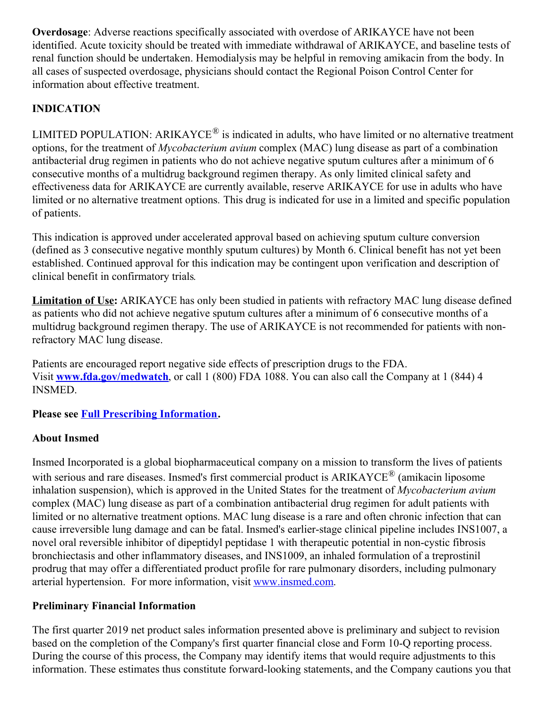**Overdosage**: Adverse reactions specifically associated with overdose of ARIKAYCE have not been identified. Acute toxicity should be treated with immediate withdrawal of ARIKAYCE, and baseline tests of renal function should be undertaken. Hemodialysis may be helpful in removing amikacin from the body. In all cases of suspected overdosage, physicians should contact the Regional Poison Control Center for information about effective treatment.

# **INDICATION**

LIMITED POPULATION: ARIKAYCE<sup>®</sup> is indicated in adults, who have limited or no alternative treatment options, for the treatment of *Mycobacterium avium* complex (MAC) lung disease as part of a combination antibacterial drug regimen in patients who do not achieve negative sputum cultures after a minimum of 6 consecutive months of a multidrug background regimen therapy. As only limited clinical safety and effectiveness data for ARIKAYCE are currently available, reserve ARIKAYCE for use in adults who have limited or no alternative treatment options*.* This drug is indicated for use in a limited and specific population of patients.

This indication is approved under accelerated approval based on achieving sputum culture conversion (defined as 3 consecutive negative monthly sputum cultures) by Month 6. Clinical benefit has not yet been established. Continued approval for this indication may be contingent upon verification and description of clinical benefit in confirmatory trials*.*

**Limitation of Use:** ARIKAYCE has only been studied in patients with refractory MAC lung disease defined as patients who did not achieve negative sputum cultures after a minimum of 6 consecutive months of a multidrug background regimen therapy. The use of ARIKAYCE is not recommended for patients with nonrefractory MAC lung disease.

Patients are encouraged report negative side effects of prescription drugs to the FDA. Visit **[www.fda.gov/medwatch](https://c212.net/c/link/?t=0&l=en&o=2426837-1&h=2150913521&u=https%3A%2F%2Fwww.globenewswire.com%2FTracker%3Fdata%3D2QnXTle7-W1ZgHXzZk-FEzGsxqBXWx3-DubrP-n8fETHZjnJ0TMyoeSEQraVgskgxgdFwFSHdvFrpFvuAJvLN-6J2IZPBET-CnRzoNOUsvs%3D&a=www.fda.gov%2Fmedwatch)**, or call 1 (800) FDA 1088. You can also call the Company at 1 (844) 4 INSMED.

**Please see Full Prescribing [Information](https://c212.net/c/link/?t=0&l=en&o=2426837-1&h=436428987&u=https%3A%2F%2Fc212.net%2Fc%2Flink%2F%3Ft%3D0%26l%3Den%26o%3D2382278-1%26h%3D2359604135%26u%3Dhttps%253A%252F%252Fc212.net%252Fc%252Flink%252F%253Ft%253D0%2526l%253Den%2526o%253D2339048-1%2526h%253D3665684709%2526u%253Dhttps%25253A%25252F%25252Fwww.arikayce.com%25252Fpdf%25252Ffull-prescribing-information.pdf%2526a%253DFull%252BPrescribing%252BInformation%26a%3DFull%2BPrescribing%2BInformation&a=Full+Prescribing+Information).**

# **About Insmed**

Insmed Incorporated is a global biopharmaceutical company on a mission to transform the lives of patients with serious and rare diseases. Insmed's first commercial product is ARIKAYCE<sup>®</sup> (amikacin liposome inhalation suspension), which is approved in the United States for the treatment of *Mycobacterium avium* complex (MAC) lung disease as part of a combination antibacterial drug regimen for adult patients with limited or no alternative treatment options. MAC lung disease is a rare and often chronic infection that can cause irreversible lung damage and can be fatal. Insmed's earlier-stage clinical pipeline includes INS1007, a novel oral reversible inhibitor of dipeptidyl peptidase 1 with therapeutic potential in non-cystic fibrosis bronchiectasis and other inflammatory diseases, and INS1009, an inhaled formulation of a treprostinil prodrug that may offer a differentiated product profile for rare pulmonary disorders, including pulmonary arterial hypertension. For more information, visit [www.insmed.com](https://c212.net/c/link/?t=0&l=en&o=2426837-1&h=209026308&u=http%3A%2F%2Fwww.insmed.com%2F&a=www.insmed.com).

#### **Preliminary Financial Information**

The first quarter 2019 net product sales information presented above is preliminary and subject to revision based on the completion of the Company's first quarter financial close and Form 10-Q reporting process. During the course of this process, the Company may identify items that would require adjustments to this information. These estimates thus constitute forward-looking statements, and the Company cautions you that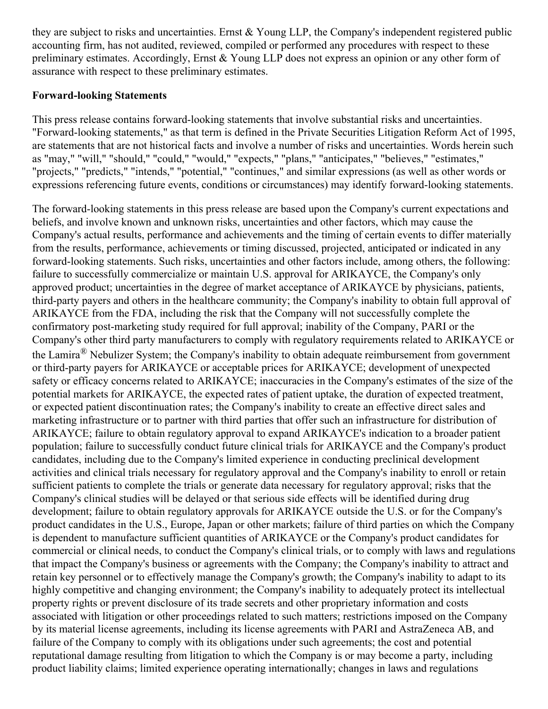they are subject to risks and uncertainties. Ernst & Young LLP, the Company's independent registered public accounting firm, has not audited, reviewed, compiled or performed any procedures with respect to these preliminary estimates. Accordingly, Ernst & Young LLP does not express an opinion or any other form of assurance with respect to these preliminary estimates.

#### **Forward-looking Statements**

This press release contains forward-looking statements that involve substantial risks and uncertainties. "Forward-looking statements," as that term is defined in the Private Securities Litigation Reform Act of 1995, are statements that are not historical facts and involve a number of risks and uncertainties. Words herein such as "may," "will," "should," "could," "would," "expects," "plans," "anticipates," "believes," "estimates," "projects," "predicts," "intends," "potential," "continues," and similar expressions (as well as other words or expressions referencing future events, conditions or circumstances) may identify forward-looking statements.

The forward-looking statements in this press release are based upon the Company's current expectations and beliefs, and involve known and unknown risks, uncertainties and other factors, which may cause the Company's actual results, performance and achievements and the timing of certain events to differ materially from the results, performance, achievements or timing discussed, projected, anticipated or indicated in any forward-looking statements. Such risks, uncertainties and other factors include, among others, the following: failure to successfully commercialize or maintain U.S. approval for ARIKAYCE, the Company's only approved product; uncertainties in the degree of market acceptance of ARIKAYCE by physicians, patients, third-party payers and others in the healthcare community; the Company's inability to obtain full approval of ARIKAYCE from the FDA, including the risk that the Company will not successfully complete the confirmatory post-marketing study required for full approval; inability of the Company, PARI or the Company's other third party manufacturers to comply with regulatory requirements related to ARIKAYCE or the Lamira<sup>®</sup> Nebulizer System; the Company's inability to obtain adequate reimbursement from government or third-party payers for ARIKAYCE or acceptable prices for ARIKAYCE; development of unexpected safety or efficacy concerns related to ARIKAYCE; inaccuracies in the Company's estimates of the size of the potential markets for ARIKAYCE, the expected rates of patient uptake, the duration of expected treatment, or expected patient discontinuation rates; the Company's inability to create an effective direct sales and marketing infrastructure or to partner with third parties that offer such an infrastructure for distribution of ARIKAYCE; failure to obtain regulatory approval to expand ARIKAYCE's indication to a broader patient population; failure to successfully conduct future clinical trials for ARIKAYCE and the Company's product candidates, including due to the Company's limited experience in conducting preclinical development activities and clinical trials necessary for regulatory approval and the Company's inability to enroll or retain sufficient patients to complete the trials or generate data necessary for regulatory approval; risks that the Company's clinical studies will be delayed or that serious side effects will be identified during drug development; failure to obtain regulatory approvals for ARIKAYCE outside the U.S. or for the Company's product candidates in the U.S., Europe, Japan or other markets; failure of third parties on which the Company is dependent to manufacture sufficient quantities of ARIKAYCE or the Company's product candidates for commercial or clinical needs, to conduct the Company's clinical trials, or to comply with laws and regulations that impact the Company's business or agreements with the Company; the Company's inability to attract and retain key personnel or to effectively manage the Company's growth; the Company's inability to adapt to its highly competitive and changing environment; the Company's inability to adequately protect its intellectual property rights or prevent disclosure of its trade secrets and other proprietary information and costs associated with litigation or other proceedings related to such matters; restrictions imposed on the Company by its material license agreements, including its license agreements with PARI and AstraZeneca AB, and failure of the Company to comply with its obligations under such agreements; the cost and potential reputational damage resulting from litigation to which the Company is or may become a party, including product liability claims; limited experience operating internationally; changes in laws and regulations